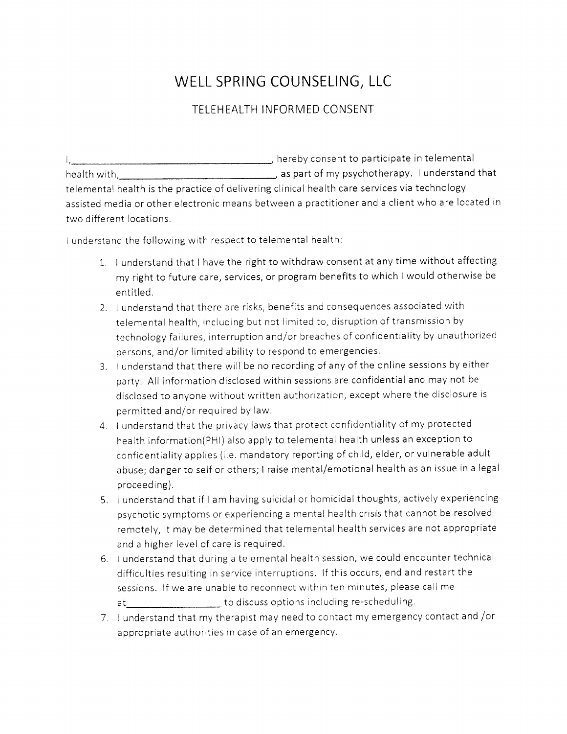## WELL SPRING COUNSELING, LLC

## TELEHEALTH INFORMED CONSENT

health with as part of my psychotherapy. I understand that hereby consent to participate in telemental telemental health is the practice of delivering clinical health care services via technology assisted media or other electronic means between a practitioner and a client who are located in two different locations.

I understand the following with respect to telemental health:

- 1, I understand that I have the right to withdraw consent at any time without affecting my right to future care, services, or program benefits to which I would otherwise be entitled.
- 2. I understand that there are risks, benefits and consequences associated with telemental health, including but not limited to, disruption of transmission by technology failures, interruption and/or breaches of confidentiality by unauthorized persons, and/or limited ability to respond to emergencies,
- 3. I understand that there will be no recording of any of the online sessions by either party. All information disclosed within sessions are confidentialand may not be disclosed to anyone without written authorization, except where the disclosure is permitted and/or required by law.
- 4. I understand that the privacy laws that protect confidentiality of my protected health information(PHI) also apply to telemental health unless an exception to confidentiality applies (i.e. mandatory reporting of child, elder, or vulnerable adult abuse; dangerto self or others; I raise mental/emotional health as an issue in a legal proceeding).
- 5. I understand that if I am having suicidal or homicidal thoughts, actively experiencing psychotic sVmptoms or experiencing a mental health crisis that cannot be resolved remotely, it may be determined that telemental health services are not appropriate and a higher level of care is required,
- 6. I understand that during a telemental health session, we could encountertechnical difficulties resulting in service interruptions. lf this occurs, end and restart the sessions. lf we are unable to reconnect within ten minutes, please call me at the to discuss options including re-scheduling.
- 7. I understand that my therapist may need to contact my emergency contact and /or appropriate authorities in case of an emergency.